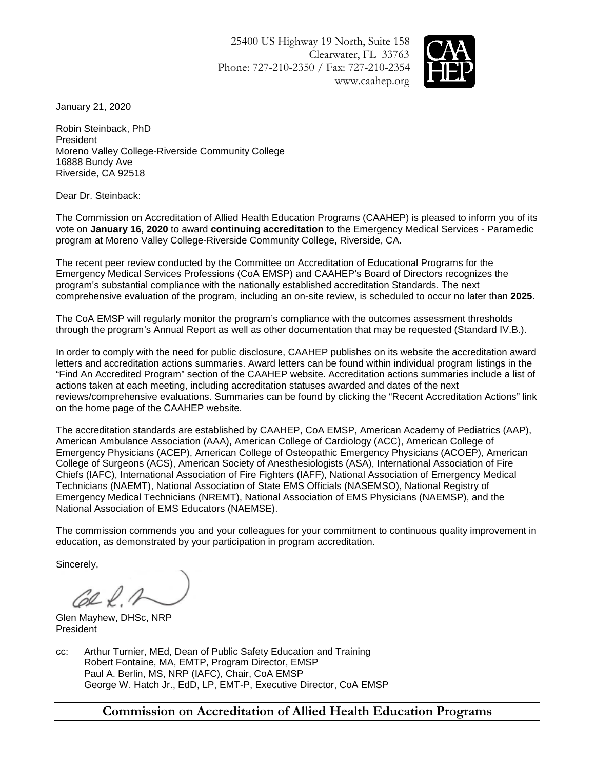25400 US Highway 19 North, Suite 158 Clearwater, FL 33763 Phone: 727-210-2350 / Fax: 727-210-2354 www.caahep.org



January 21, 2020

Robin Steinback, PhD President Moreno Valley College-Riverside Community College 16888 Bundy Ave Riverside, CA 92518

Dear Dr. Steinback:

The Commission on Accreditation of Allied Health Education Programs (CAAHEP) is pleased to inform you of its vote on **January 16, 2020** to award **continuing accreditation** to the Emergency Medical Services - Paramedic program at Moreno Valley College-Riverside Community College, Riverside, CA.

The recent peer review conducted by the Committee on Accreditation of Educational Programs for the Emergency Medical Services Professions (CoA EMSP) and CAAHEP's Board of Directors recognizes the program's substantial compliance with the nationally established accreditation Standards. The next comprehensive evaluation of the program, including an on-site review, is scheduled to occur no later than **2025**.

The CoA EMSP will regularly monitor the program's compliance with the outcomes assessment thresholds through the program's Annual Report as well as other documentation that may be requested (Standard IV.B.).

In order to comply with the need for public disclosure, CAAHEP publishes on its website the accreditation award letters and accreditation actions summaries. Award letters can be found within individual program listings in the "Find An Accredited Program" section of the CAAHEP website. Accreditation actions summaries include a list of actions taken at each meeting, including accreditation statuses awarded and dates of the next reviews/comprehensive evaluations. Summaries can be found by clicking the "Recent Accreditation Actions" link on the home page of the CAAHEP website.

The accreditation standards are established by CAAHEP, CoA EMSP, American Academy of Pediatrics (AAP), American Ambulance Association (AAA), American College of Cardiology (ACC), American College of Emergency Physicians (ACEP), American College of Osteopathic Emergency Physicians (ACOEP), American College of Surgeons (ACS), American Society of Anesthesiologists (ASA), International Association of Fire Chiefs (IAFC), International Association of Fire Fighters (IAFF), National Association of Emergency Medical Technicians (NAEMT), National Association of State EMS Officials (NASEMSO), National Registry of Emergency Medical Technicians (NREMT), National Association of EMS Physicians (NAEMSP), and the National Association of EMS Educators (NAEMSE).

The commission commends you and your colleagues for your commitment to continuous quality improvement in education, as demonstrated by your participation in program accreditation.

Sincerely,

 $\mathcal{C}\!\!\mathcal{L}\mathcal{L}\mathcal{A}$ 

Glen Mayhew, DHSc, NRP President

cc: Arthur Turnier, MEd, Dean of Public Safety Education and Training Robert Fontaine, MA, EMTP, Program Director, EMSP Paul A. Berlin, MS, NRP (IAFC), Chair, CoA EMSP George W. Hatch Jr., EdD, LP, EMT-P, Executive Director, CoA EMSP